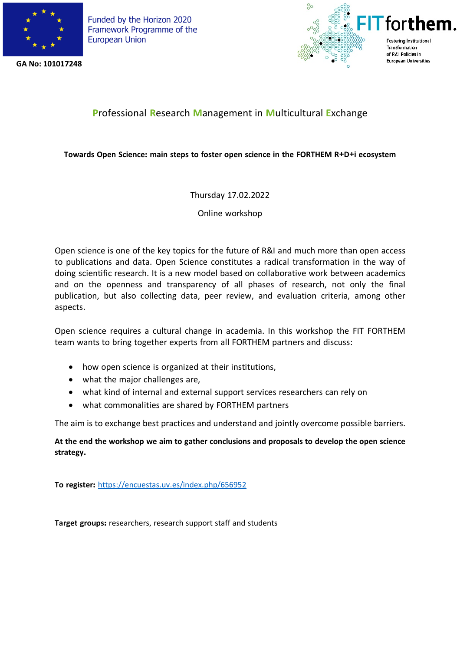

**GA No: 101017248**



## **P**rofessional **R**esearch **M**anagement in **M**ulticultural **E**xchange

## **Towards Open Science: main steps to foster open science in the FORTHEM R+D+i ecosystem**

Thursday 17.02.2022

Online workshop

Open science is one of the key topics for the future of R&I and much more than open access to publications and data. Open Science constitutes a radical transformation in the way of doing scientific research. It is a new model based on collaborative work between academics and on the openness and transparency of all phases of research, not only the final publication, but also collecting data, peer review, and evaluation criteria, among other aspects.

Open science requires a cultural change in academia. In this workshop the FIT FORTHEM team wants to bring together experts from all FORTHEM partners and discuss:

- how open science is organized at their institutions,
- what the major challenges are,
- what kind of internal and external support services researchers can rely on
- what commonalities are shared by FORTHEM partners

The aim is to exchange best practices and understand and jointly overcome possible barriers.

**At the end the workshop we aim to gather conclusions and proposals to develop the open science strategy.**

**To register:** https://encuestas.uv.es/index.php/656952

**Target groups:** researchers, research support staff and students